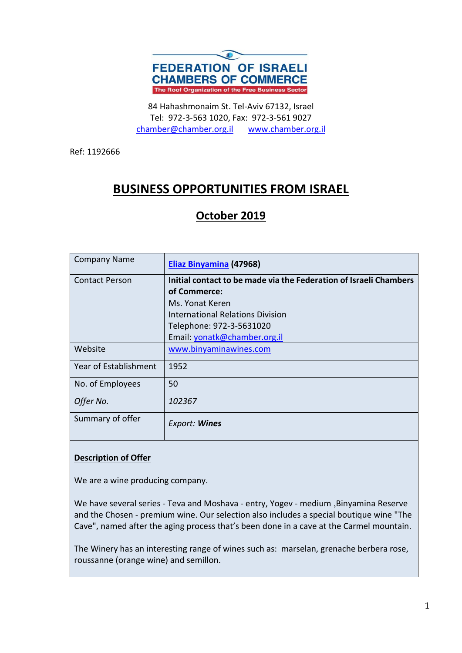

84 Hahashmonaim St. Tel-Aviv 67132, Israel Tel: 972-3-563 1020, Fax: 972-3-561 9027 [chamber@chamber.org.il](mailto:chamber@chamber.org.il) [www.chamber.org.il](http://www.chamber.org.il/)

Ref: 1192666

# **BUSINESS OPPORTUNITIES FROM ISRAEL**

## **October 2019**

| <b>Company Name</b>   | Eliaz Binyamina (47968)                                           |
|-----------------------|-------------------------------------------------------------------|
| <b>Contact Person</b> | Initial contact to be made via the Federation of Israeli Chambers |
|                       | of Commerce:                                                      |
|                       | Ms. Yonat Keren                                                   |
|                       | <b>International Relations Division</b>                           |
|                       | Telephone: 972-3-5631020                                          |
|                       | Email: yonatk@chamber.org.il                                      |
| Website               | www.binyaminawines.com                                            |
| Year of Establishment | 1952                                                              |
| No. of Employees      | 50                                                                |
| Offer No.             | 102367                                                            |
| Summary of offer      | Export: Wines                                                     |

### **Description of Offer**

We are a wine producing company.

We have several series - Teva and Moshava - entry, Yogev - medium ,Binyamina Reserve and the Chosen - premium wine. Our selection also includes a special boutique wine "The Cave", named after the aging process that's been done in a cave at the Carmel mountain .

The Winery has an interesting range of wines such as: marselan, grenache berbera rose, roussanne (orange wine) and semillon.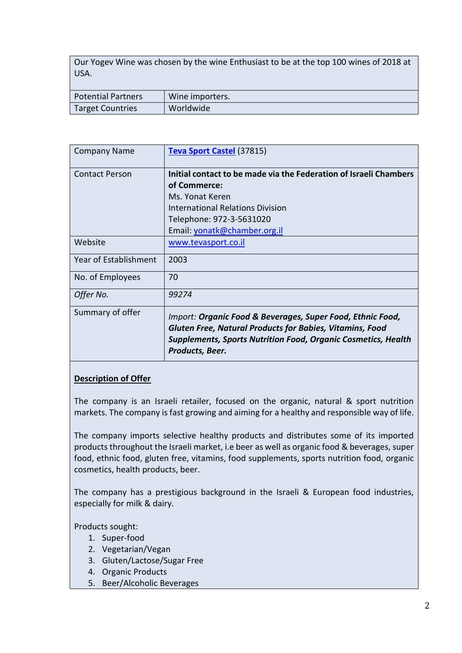Our Yogev Wine was chosen by the wine Enthusiast to be at the top 100 wines of 2018 at USA.

| Potential Partners | Wine importers. |
|--------------------|-----------------|
| Target Countries   | Worldwide       |

| <b>Company Name</b>          | Teva Sport Castel (37815)                                                                                                                                                                                                |
|------------------------------|--------------------------------------------------------------------------------------------------------------------------------------------------------------------------------------------------------------------------|
| <b>Contact Person</b>        | Initial contact to be made via the Federation of Israeli Chambers<br>of Commerce:<br>Ms. Yonat Keren<br><b>International Relations Division</b><br>Telephone: 972-3-5631020<br>Email: yonatk@chamber.org.il              |
| Website                      | www.tevasport.co.il                                                                                                                                                                                                      |
| <b>Year of Establishment</b> | 2003                                                                                                                                                                                                                     |
| No. of Employees             | 70                                                                                                                                                                                                                       |
| Offer No.                    | 99274                                                                                                                                                                                                                    |
| Summary of offer             | Import: Organic Food & Beverages, Super Food, Ethnic Food,<br><b>Gluten Free, Natural Products for Babies, Vitamins, Food</b><br><b>Supplements, Sports Nutrition Food, Organic Cosmetics, Health</b><br>Products, Beer. |

#### **Description of Offer**

The company is an Israeli retailer, focused on the organic, natural & sport nutrition markets. The company is fast growing and aiming for a healthy and responsible way of life.

The company imports selective healthy products and distributes some of its imported products throughout the Israeli market, i.e beer as well as organic food & beverages, super food, ethnic food, gluten free, vitamins, food supplements, sports nutrition food, organic cosmetics, health products, beer.

The company has a prestigious background in the Israeli & European food industries, especially for milk & dairy.

Products sought:

- 1. Super-food
- 2. Vegetarian/Vegan
- 3. Gluten/Lactose/Sugar Free
- 4. Organic Products
- 5. Beer/Alcoholic Beverages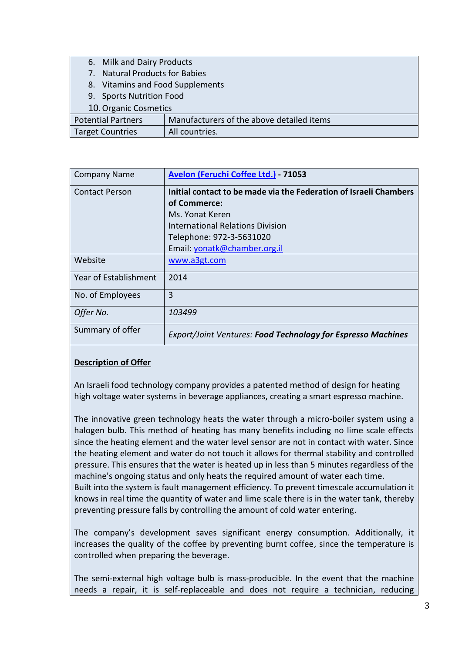- 6. Milk and Dairy Products
- 7. Natural Products for Babies
- 8. Vitamins and Food Supplements
- 9. Sports Nutrition Food
- 10.Organic Cosmetics

| <b>ID: OI RUITIC COSTTIC LICS</b> |                                           |
|-----------------------------------|-------------------------------------------|
| <b>Potential Partners</b>         | Manufacturers of the above detailed items |
| <b>Target Countries</b>           | All countries.                            |

| <b>Company Name</b>   | Avelon (Feruchi Coffee Ltd.) - 71053                              |
|-----------------------|-------------------------------------------------------------------|
| <b>Contact Person</b> | Initial contact to be made via the Federation of Israeli Chambers |
|                       | of Commerce:                                                      |
|                       | Ms. Yonat Keren                                                   |
|                       | International Relations Division                                  |
|                       | Telephone: 972-3-5631020                                          |
|                       | Email: yonatk@chamber.org.il                                      |
| Website               | www.a3gt.com                                                      |
| Year of Establishment | 2014                                                              |
| No. of Employees      | 3                                                                 |
| Offer No.             | 103499                                                            |
| Summary of offer      | Export/Joint Ventures: Food Technology for Espresso Machines      |

#### **Description of Offer**

An Israeli food technology company provides a patented method of design for heating high voltage water systems in beverage appliances, creating a smart espresso machine.

The innovative green technology heats the water through a micro-boiler system using a halogen bulb. This method of heating has many benefits including no lime scale effects since the heating element and the water level sensor are not in contact with water. Since the heating element and water do not touch it allows for thermal stability and controlled pressure. This ensures that the water is heated up in less than 5 minutes regardless of the machine's ongoing status and only heats the required amount of water each time. Built into the system is fault management efficiency. To prevent timescale accumulation it knows in real time the quantity of water and lime scale there is in the water tank, thereby preventing pressure falls by controlling the amount of cold water entering.

The company's development saves significant energy consumption. Additionally, it increases the quality of the coffee by preventing burnt coffee, since the temperature is controlled when preparing the beverage.

The semi-external high voltage bulb is mass-producible. In the event that the machine needs a repair, it is self-replaceable and does not require a technician, reducing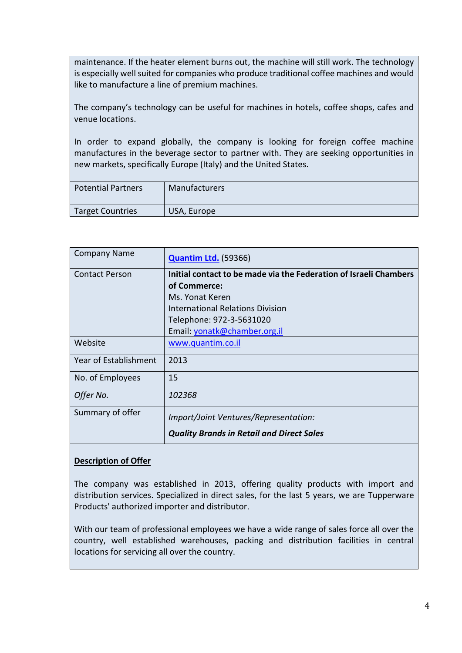maintenance. If the heater element burns out, the machine will still work. The technology is especially well suited for companies who produce traditional coffee machines and would like to manufacture a line of premium machines.

The company's technology can be useful for machines in hotels, coffee shops, cafes and venue locations.

In order to expand globally, the company is looking for foreign coffee machine manufactures in the beverage sector to partner with. They are seeking opportunities in new markets, specifically Europe (Italy) and the United States.

| <b>Potential Partners</b> | <b>Manufacturers</b> |
|---------------------------|----------------------|
| Target Countries          | USA, Europe          |

| <b>Company Name</b>   | <b>Quantim Ltd.</b> (59366)                                       |
|-----------------------|-------------------------------------------------------------------|
| <b>Contact Person</b> | Initial contact to be made via the Federation of Israeli Chambers |
|                       | of Commerce:                                                      |
|                       | Ms. Yonat Keren                                                   |
|                       | International Relations Division                                  |
|                       | Telephone: 972-3-5631020                                          |
|                       | Email: yonatk@chamber.org.il                                      |
| Website               | www.quantim.co.il                                                 |
| Year of Establishment | 2013                                                              |
| No. of Employees      | 15                                                                |
| Offer No.             | 102368                                                            |
| Summary of offer      | Import/Joint Ventures/Representation:                             |
|                       | <b>Quality Brands in Retail and Direct Sales</b>                  |

#### **Description of Offer**

The company was established in 2013, offering quality products with import and distribution services. Specialized in direct sales, for the last 5 years, we are Tupperware Products' authorized importer and distributor .

With our team of professional employees we have a wide range of sales force all over the country, well established warehouses, packing and distribution facilities in central locations for servicing all over the country.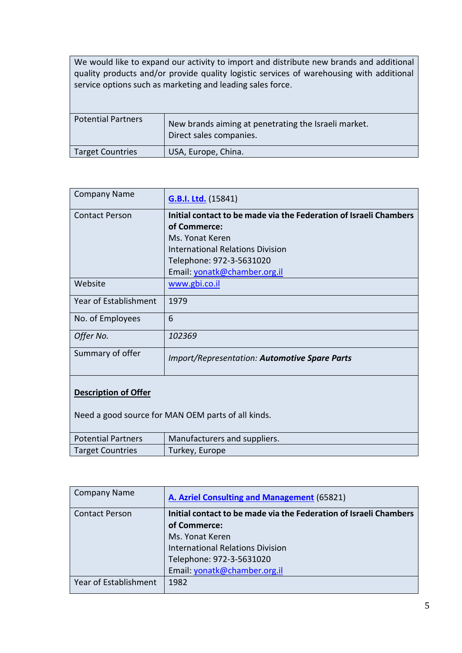We would like to expand our activity to import and distribute new brands and additional quality products and/or provide quality logistic services of warehousing with additional service options such as marketing and leading sales force .

| <b>Potential Partners</b> | New brands aiming at penetrating the Israeli market.<br>Direct sales companies. |
|---------------------------|---------------------------------------------------------------------------------|
| <b>Target Countries</b>   | USA, Europe, China.                                                             |
|                           |                                                                                 |

| <b>Company Name</b>          | <b>G.B.I. Ltd.</b> (15841)                                        |
|------------------------------|-------------------------------------------------------------------|
| <b>Contact Person</b>        | Initial contact to be made via the Federation of Israeli Chambers |
|                              | of Commerce:                                                      |
|                              | Ms. Yonat Keren                                                   |
|                              | International Relations Division                                  |
|                              | Telephone: 972-3-5631020                                          |
|                              | Email: yonatk@chamber.org.il                                      |
| Website                      | www.gbi.co.il                                                     |
| <b>Year of Establishment</b> | 1979                                                              |
| No. of Employees             | 6                                                                 |
| Offer No.                    | 102369                                                            |
| Summary of offer             | <b>Import/Representation: Automotive Spare Parts</b>              |
| <b>Description of Offer</b>  |                                                                   |

Need a good source for MAN OEM parts of all kinds.

| <b>Potential Partners</b> | Manufacturers and suppliers. |
|---------------------------|------------------------------|
| Target Countries          | Turkey, Europe               |

| <b>Company Name</b>   | A. Azriel Consulting and Management (65821)                       |
|-----------------------|-------------------------------------------------------------------|
| <b>Contact Person</b> | Initial contact to be made via the Federation of Israeli Chambers |
|                       | of Commerce:                                                      |
|                       | Ms. Yonat Keren                                                   |
|                       | <b>International Relations Division</b>                           |
|                       | Telephone: 972-3-5631020                                          |
|                       | Email: yonatk@chamber.org.il                                      |
| Year of Establishment | 1982                                                              |